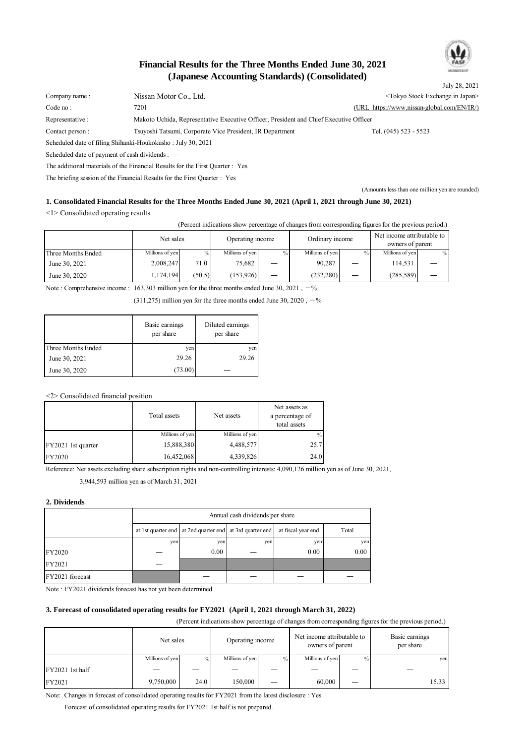

# **(Japanese Accounting Standards) (Consolidated) Financial Results for the Three Months Ended June 30, 2021**

July 28, 2021 Company name : Nissan Motor Co., Ltd. Company name : Nissan Motor Co., Ltd. Company name : Nissan Motor Co., Ltd. Company stock Exchange in Japan> Code no : 7201 7201 7201 7201 Representative : Makoto Uchida, Representative Executive Officer, President and Chief Executive Officer Contact person : Tsuyoshi Tatsumi, Corporate Vice President, IR Department Tel. (045) 523 - 5523 Scheduled date of filing Shihanki-Houkokusho : July 30, 2021 Scheduled date of payment of cash dividends : ― The additional materials of the Financial Results for the First Quarter : Yes

The briefing session of the Financial Results for the First Quarter : Yes

(Amounts less than one million yen are rounded)

### **1. Consolidated Financial Results for the Three Months Ended June 30, 2021 (April 1, 2021 through June 30, 2021)**

<1> Consolidated operating results

(Percent indications show percentage of changes from corresponding figures for the previous period.)

|                    | Net sales       |        | Operating income<br>Ordinary income |                          |                 |  | Net income attributable to<br>owners of parent |   |
|--------------------|-----------------|--------|-------------------------------------|--------------------------|-----------------|--|------------------------------------------------|---|
| Three Months Ended | Millions of yen | $\%$   | Millions of yen                     | $\frac{0}{0}$            | Millions of yen |  | Millions of yen                                | % |
| June 30, 2021      | 2,008,247       | 71.0   | 75,682                              | $\overline{\phantom{0}}$ | 90,287          |  | 114,531                                        |   |
| June 30, 2020      | 1.174.194       | (50.5) | (153, 926)                          | $\overline{\phantom{0}}$ | (232, 280)      |  | (285, 589)                                     |   |

Note : Comprehensive income :  $163,303$  million yen for the three months ended June 30, 2021,  $-$ %

 $(311,275)$  million yen for the three months ended June 30, 2020,  $-$ %

|                    | Basic earnings<br>per share | Diluted earnings<br>per share |
|--------------------|-----------------------------|-------------------------------|
| Three Months Ended | yen                         | yen                           |
| June 30, 2021      | 29.26                       | 29.26                         |
| June 30, 2020      | (73.00)                     |                               |

<2> Consolidated financial position

|                    | Total assets    | Net assets      | Net assets as<br>a percentage of<br>total assets |
|--------------------|-----------------|-----------------|--------------------------------------------------|
|                    | Millions of yen | Millions of yen | $\%$                                             |
| FY2021 1st quarter | 15,888,380      | 4,488,577       | 25.7                                             |
| <b>FY2020</b>      | 16,452,068      | 4,339,826       | 24.0                                             |

Reference: Net assets excluding share subscription rights and non-controlling interests: 4,090,126 million yen as of June 30, 2021,

3,944,593 million yen as of March 31, 2021

### **2. Dividends**

|                 | Annual cash dividends per share |                                                                                         |     |      |          |  |  |  |
|-----------------|---------------------------------|-----------------------------------------------------------------------------------------|-----|------|----------|--|--|--|
|                 |                                 | at 1st quarter end at 2nd quarter end at 3rd quarter end<br>at fiscal year end<br>Total |     |      |          |  |  |  |
|                 | yen                             | yen                                                                                     | yen | yen  | yen      |  |  |  |
| <b>FY2020</b>   |                                 | 0.00                                                                                    |     | 0.00 | $0.00\,$ |  |  |  |
| FY2021          |                                 |                                                                                         |     |      |          |  |  |  |
| FY2021 forecast |                                 |                                                                                         |     |      |          |  |  |  |

Note : FY2021 dividends forecast has not yet been determined.

#### **3. Forecast of consolidated operating results for FY2021 (April 1, 2021 through March 31, 2022)**

(Percent indications show percentage of changes from corresponding figures for the previous period.)

|                 | Net sales       |      | Operating income |      | Net income attributable to<br>owners of parent |  | Basic earnings<br>per share |  |
|-----------------|-----------------|------|------------------|------|------------------------------------------------|--|-----------------------------|--|
|                 | Millions of yen | $\%$ | Millions of yen  | $\%$ | Millions of yen                                |  | yen                         |  |
| FY2021 1st half |                 |      |                  |      |                                                |  |                             |  |
| FY2021          | 9,750,000       | 24.0 | 150,000          |      | 60,000                                         |  | 15.33                       |  |

Note: Changes in forecast of consolidated operating results for FY2021 from the latest disclosure : Yes

Forecast of consolidated operating results for FY2021 1st half is not prepared.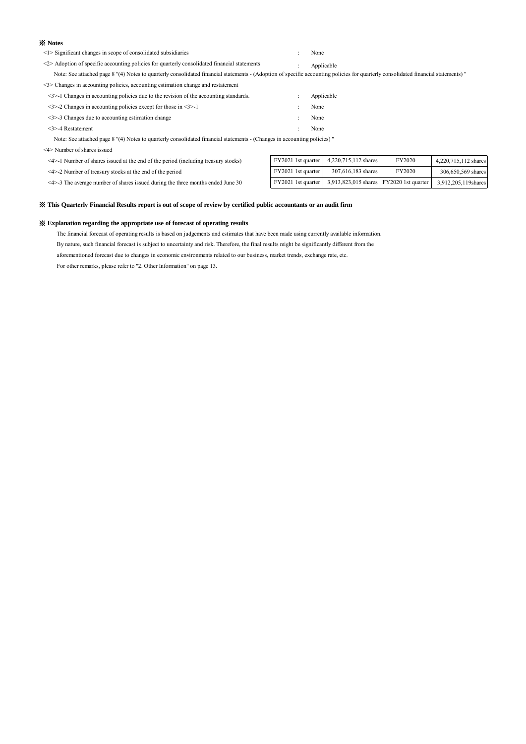#### ※ **Notes**

| $\leq$ 1> Significant changes in scope of consolidated subsidiaries | None |
|---------------------------------------------------------------------|------|
|                                                                     |      |

<2> Adoption of specific accounting policies for quarterly consolidated financial statements : Applicable

Note: See attached page 8 "(4) Notes to quarterly consolidated financial statements - (Adoption of specific accounting policies for quarterly consolidated financial statements) "

<3> Changes in accounting policies, accounting estimation change and restatement

| $\leq$ 3>-1 Changes in accounting policies due to the revision of the accounting standards. | Applicable |
|---------------------------------------------------------------------------------------------|------------|
| $\leq$ 3>-2 Changes in accounting policies except for those in $\leq$ 3>-1                  | None       |
| $\leq$ 3>-3 Changes due to accounting estimation change                                     | None       |
| $\leq$ 3>-4 Restatement                                                                     | None       |

Note: See attached page 8 "(4) Notes to quarterly consolidated financial statements - (Changes in accounting policies) "

<4> Number of shares issued

 $\leq$ 4>-1 Number of shares issued at the end of the period (including treasury stocks)

 $\leq$ 4>-2 Number of treasury stocks at the end of the period

 $<$  4 $>$ -3 The average number of shares issued during the three months ended June 30

| FY2021 1st quarter | 4.220.715.112 shares                    | FY2020 | 4.220.715.112 shares |
|--------------------|-----------------------------------------|--------|----------------------|
| FY2021 1st quarter | 307,616,183 shares                      | FY2020 | 306,650,569 shares   |
| FY2021 1st quarter | 3,913,823,015 shares FY2020 1st quarter |        | 3.912.205.119 shares |

#### ※ **This Quarterly Financial Results report is out of scope of review by certified public accountants or an audit firm**

#### ※ **Explanation regarding the appropriate use of forecast of operating results**

The financial forecast of operating results is based on judgements and estimates that have been made using currently available information.

By nature, such financial forecast is subject to uncertainty and risk. Therefore, the final results might be significantly different from the

aforementioned forecast due to changes in economic environments related to our business, market trends, exchange rate, etc.

For other remarks, please refer to "2. Other Information" on page 13.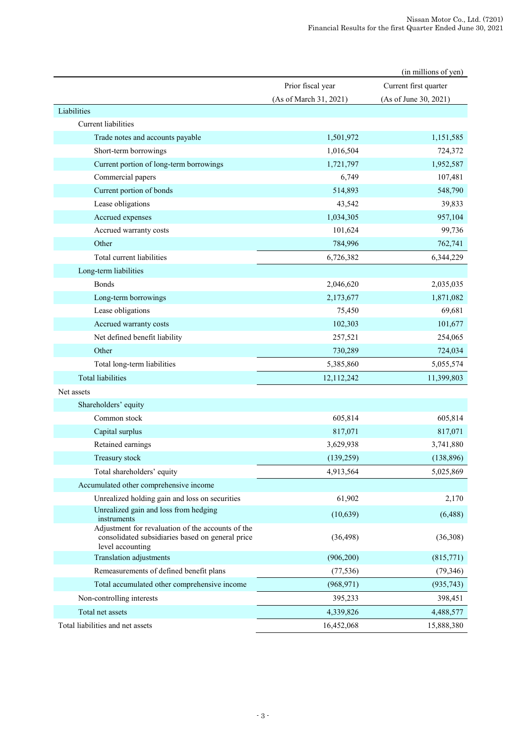|                                                                                                                           |                        | (in millions of yen)  |
|---------------------------------------------------------------------------------------------------------------------------|------------------------|-----------------------|
|                                                                                                                           | Prior fiscal year      | Current first quarter |
|                                                                                                                           | (As of March 31, 2021) | (As of June 30, 2021) |
| Liabilities                                                                                                               |                        |                       |
| Current liabilities                                                                                                       |                        |                       |
| Trade notes and accounts payable                                                                                          | 1,501,972              | 1,151,585             |
| Short-term borrowings                                                                                                     | 1,016,504              | 724,372               |
| Current portion of long-term borrowings                                                                                   | 1,721,797              | 1,952,587             |
| Commercial papers                                                                                                         | 6,749                  | 107,481               |
| Current portion of bonds                                                                                                  | 514,893                | 548,790               |
| Lease obligations                                                                                                         | 43,542                 | 39,833                |
| Accrued expenses                                                                                                          | 1,034,305              | 957,104               |
| Accrued warranty costs                                                                                                    | 101,624                | 99,736                |
| Other                                                                                                                     | 784,996                | 762,741               |
| Total current liabilities                                                                                                 | 6,726,382              | 6,344,229             |
| Long-term liabilities                                                                                                     |                        |                       |
| <b>Bonds</b>                                                                                                              | 2,046,620              | 2,035,035             |
| Long-term borrowings                                                                                                      | 2,173,677              | 1,871,082             |
| Lease obligations                                                                                                         | 75,450                 | 69,681                |
| Accrued warranty costs                                                                                                    | 102,303                | 101,677               |
| Net defined benefit liability                                                                                             | 257,521                | 254,065               |
| Other                                                                                                                     | 730,289                | 724,034               |
| Total long-term liabilities                                                                                               | 5,385,860              | 5,055,574             |
| <b>Total liabilities</b>                                                                                                  | 12,112,242             | 11,399,803            |
| Net assets                                                                                                                |                        |                       |
| Shareholders' equity                                                                                                      |                        |                       |
| Common stock                                                                                                              | 605,814                | 605,814               |
| Capital surplus                                                                                                           | 817,071                | 817,071               |
| Retained earnings                                                                                                         | 3,629,938              | 3,741,880             |
| Treasury stock                                                                                                            | (139, 259)             | (138, 896)            |
| Total shareholders' equity                                                                                                | 4,913,564              | 5,025,869             |
| Accumulated other comprehensive income                                                                                    |                        |                       |
| Unrealized holding gain and loss on securities                                                                            | 61,902                 | 2,170                 |
| Unrealized gain and loss from hedging<br>instruments                                                                      | (10, 639)              | (6, 488)              |
| Adjustment for revaluation of the accounts of the<br>consolidated subsidiaries based on general price<br>level accounting | (36, 498)              | (36,308)              |
| Translation adjustments                                                                                                   | (906, 200)             | (815,771)             |
| Remeasurements of defined benefit plans                                                                                   | (77, 536)              | (79, 346)             |
| Total accumulated other comprehensive income                                                                              | (968, 971)             | (935, 743)            |
| Non-controlling interests                                                                                                 | 395,233                | 398,451               |
| Total net assets                                                                                                          | 4,339,826              | 4,488,577             |
| Total liabilities and net assets                                                                                          | 16,452,068             | 15,888,380            |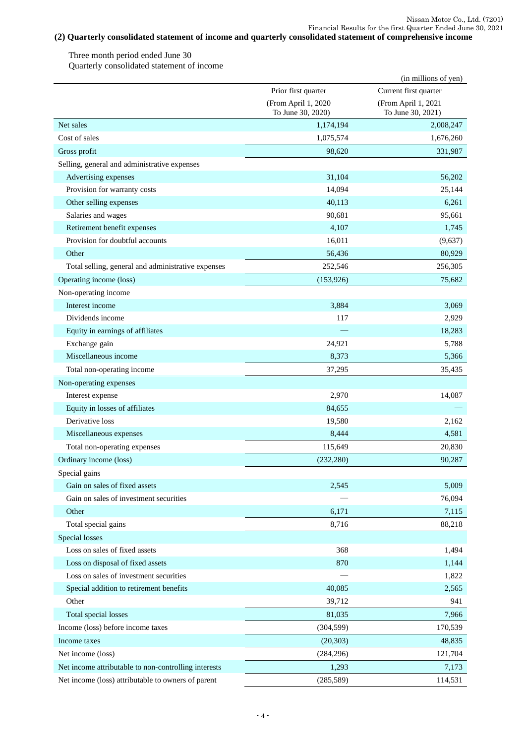# **(2) Quarterly consolidated statement of income and quarterly consolidated statement of comprehensive income**

Three month period ended June 30 Quarterly consolidated statement of income

|                                                                |                     | (in millions of yen)  |
|----------------------------------------------------------------|---------------------|-----------------------|
|                                                                | Prior first quarter | Current first quarter |
|                                                                | (From April 1, 2020 | (From April 1, 2021   |
|                                                                | To June 30, 2020)   | To June 30, 2021)     |
| Net sales                                                      | 1,174,194           | 2,008,247             |
| Cost of sales                                                  | 1,075,574           | 1,676,260             |
| Gross profit                                                   | 98,620              | 331,987               |
| Selling, general and administrative expenses                   |                     |                       |
| Advertising expenses                                           | 31,104              | 56,202                |
| Provision for warranty costs                                   | 14,094              | 25,144                |
| Other selling expenses                                         | 40,113              | 6,261                 |
| Salaries and wages                                             | 90,681              | 95,661                |
| Retirement benefit expenses<br>Provision for doubtful accounts | 4,107<br>16,011     | 1,745                 |
| Other                                                          |                     | (9,637)               |
| Total selling, general and administrative expenses             | 56,436              | 80,929                |
|                                                                | 252,546             | 256,305               |
| Operating income (loss)                                        | (153, 926)          | 75.682                |
| Non-operating income                                           |                     |                       |
| Interest income                                                | 3,884               | 3,069                 |
| Dividends income                                               | 117                 | 2,929                 |
| Equity in earnings of affiliates                               |                     | 18,283                |
| Exchange gain<br>Miscellaneous income                          | 24,921              | 5,788<br>5,366        |
|                                                                | 8,373               |                       |
| Total non-operating income                                     | 37,295              | 35,435                |
| Non-operating expenses                                         |                     |                       |
| Interest expense                                               | 2,970               | 14,087                |
| Equity in losses of affiliates<br>Derivative loss              | 84,655              |                       |
|                                                                | 19,580              | 2,162                 |
| Miscellaneous expenses                                         | 8,444               | 4,581                 |
| Total non-operating expenses                                   | 115,649             | 20,830                |
| Ordinary income (loss)                                         | (232, 280)          | 90,287                |
| Special gains                                                  |                     |                       |
| Gain on sales of fixed assets                                  | 2,545               | 5,009                 |
| Gain on sales of investment securities                         |                     | 76,094                |
| Other                                                          | 6,171               | 7,115                 |
| Total special gains                                            | 8,716               | 88,218                |
| Special losses                                                 |                     |                       |
| Loss on sales of fixed assets                                  | 368                 | 1,494                 |
| Loss on disposal of fixed assets                               | 870                 | 1,144                 |
| Loss on sales of investment securities                         |                     | 1,822                 |
| Special addition to retirement benefits                        | 40,085              | 2,565                 |
| Other                                                          | 39,712              | 941                   |
| Total special losses                                           | 81,035              | 7,966                 |
| Income (loss) before income taxes                              | (304, 599)          | 170,539               |
| Income taxes                                                   | (20, 303)           | 48,835                |
| Net income (loss)                                              | (284, 296)          | 121,704               |
| Net income attributable to non-controlling interests           | 1,293               | 7,173                 |
| Net income (loss) attributable to owners of parent             | (285, 589)          | 114,531               |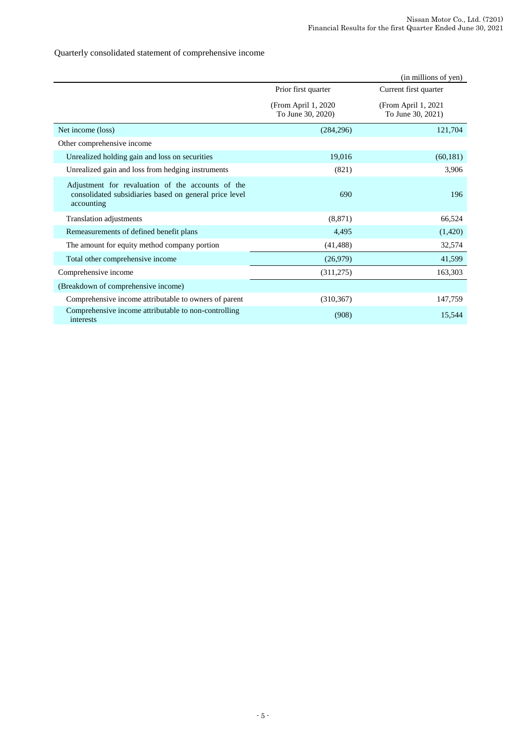Quarterly consolidated statement of comprehensive income

|                                                                                                                           |                                           | (in millions of yen)                     |
|---------------------------------------------------------------------------------------------------------------------------|-------------------------------------------|------------------------------------------|
|                                                                                                                           | Prior first quarter                       | Current first quarter                    |
|                                                                                                                           | (From April 1, 2020)<br>To June 30, 2020) | (From April 1, 2021<br>To June 30, 2021) |
| Net income (loss)                                                                                                         | (284, 296)                                | 121,704                                  |
| Other comprehensive income                                                                                                |                                           |                                          |
| Unrealized holding gain and loss on securities                                                                            | 19,016                                    | (60, 181)                                |
| Unrealized gain and loss from hedging instruments                                                                         | (821)                                     | 3,906                                    |
| Adjustment for revaluation of the accounts of the<br>consolidated subsidiaries based on general price level<br>accounting | 690                                       | 196                                      |
| Translation adjustments                                                                                                   | (8, 871)                                  | 66,524                                   |
| Remeasurements of defined benefit plans                                                                                   | 4,495                                     | (1,420)                                  |
| The amount for equity method company portion                                                                              | (41, 488)                                 | 32,574                                   |
| Total other comprehensive income                                                                                          | (26,979)                                  | 41,599                                   |
| Comprehensive income                                                                                                      | (311,275)                                 | 163,303                                  |
| (Breakdown of comprehensive income)                                                                                       |                                           |                                          |
| Comprehensive income attributable to owners of parent                                                                     | (310, 367)                                | 147,759                                  |
| Comprehensive income attributable to non-controlling<br>interests                                                         | (908)                                     | 15,544                                   |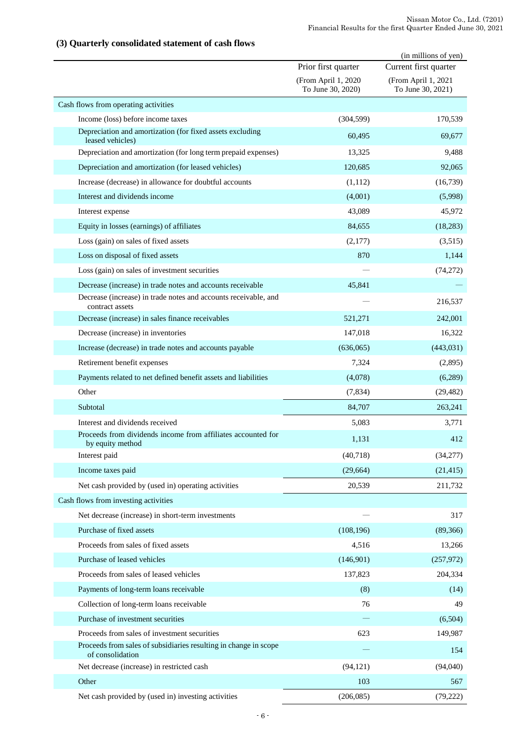## **(3) Quarterly consolidated statement of cash flows**

|                                                                                      |                                          | (in millions of yen)                     |
|--------------------------------------------------------------------------------------|------------------------------------------|------------------------------------------|
|                                                                                      | Prior first quarter                      | Current first quarter                    |
|                                                                                      | (From April 1, 2020<br>To June 30, 2020) | (From April 1, 2021<br>To June 30, 2021) |
| Cash flows from operating activities                                                 |                                          |                                          |
| Income (loss) before income taxes                                                    | (304, 599)                               | 170,539                                  |
| Depreciation and amortization (for fixed assets excluding<br>leased vehicles)        | 60,495                                   | 69,677                                   |
| Depreciation and amortization (for long term prepaid expenses)                       | 13,325                                   | 9,488                                    |
| Depreciation and amortization (for leased vehicles)                                  | 120,685                                  | 92,065                                   |
| Increase (decrease) in allowance for doubtful accounts                               | (1,112)                                  | (16,739)                                 |
| Interest and dividends income                                                        | (4,001)                                  | (5,998)                                  |
| Interest expense                                                                     | 43,089                                   | 45,972                                   |
| Equity in losses (earnings) of affiliates                                            | 84,655                                   | (18, 283)                                |
| Loss (gain) on sales of fixed assets                                                 | (2,177)                                  | (3,515)                                  |
| Loss on disposal of fixed assets                                                     | 870                                      | 1,144                                    |
| Loss (gain) on sales of investment securities                                        |                                          | (74, 272)                                |
| Decrease (increase) in trade notes and accounts receivable                           | 45,841                                   |                                          |
| Decrease (increase) in trade notes and accounts receivable, and<br>contract assets   |                                          | 216,537                                  |
| Decrease (increase) in sales finance receivables                                     | 521,271                                  | 242,001                                  |
| Decrease (increase) in inventories                                                   | 147,018                                  | 16,322                                   |
| Increase (decrease) in trade notes and accounts payable                              | (636,065)                                | (443,031)                                |
| Retirement benefit expenses                                                          | 7,324                                    | (2,895)                                  |
| Payments related to net defined benefit assets and liabilities                       | (4,078)                                  | (6,289)                                  |
| Other                                                                                | (7, 834)                                 | (29, 482)                                |
| Subtotal                                                                             | 84,707                                   | 263,241                                  |
| Interest and dividends received                                                      | 5,083                                    | 3,771                                    |
| Proceeds from dividends income from affiliates accounted for<br>by equity method     | 1,131                                    | 412                                      |
| Interest paid                                                                        | (40,718)                                 | (34,277)                                 |
| Income taxes paid                                                                    | (29, 664)                                | (21, 415)                                |
| Net cash provided by (used in) operating activities                                  | 20,539                                   | 211,732                                  |
| Cash flows from investing activities                                                 |                                          |                                          |
| Net decrease (increase) in short-term investments                                    |                                          | 317                                      |
| Purchase of fixed assets                                                             | (108, 196)                               | (89,366)                                 |
| Proceeds from sales of fixed assets                                                  | 4,516                                    | 13,266                                   |
| Purchase of leased vehicles                                                          | (146,901)                                | (257, 972)                               |
| Proceeds from sales of leased vehicles                                               | 137,823                                  | 204,334                                  |
| Payments of long-term loans receivable                                               | (8)                                      | (14)                                     |
| Collection of long-term loans receivable                                             | 76                                       | 49                                       |
| Purchase of investment securities                                                    |                                          | (6,504)                                  |
| Proceeds from sales of investment securities                                         | 623                                      | 149,987                                  |
| Proceeds from sales of subsidiaries resulting in change in scope<br>of consolidation |                                          | 154                                      |
| Net decrease (increase) in restricted cash                                           | (94, 121)                                | (94,040)                                 |
| Other                                                                                | 103                                      | 567                                      |
| Net cash provided by (used in) investing activities                                  | (206, 085)                               | (79, 222)                                |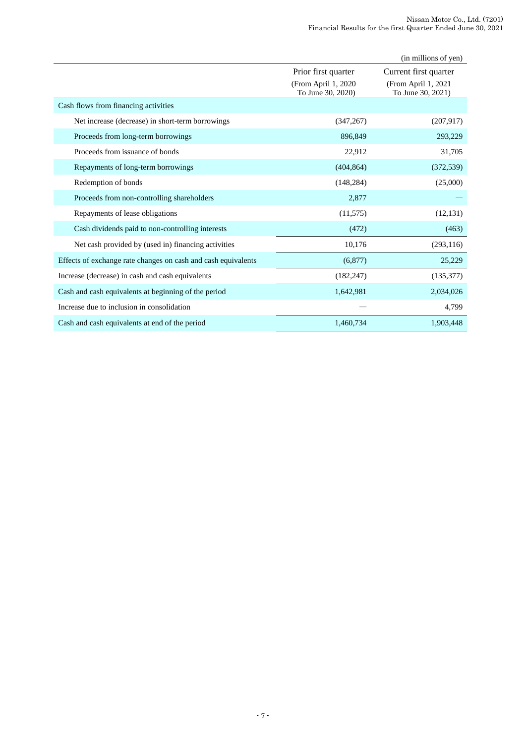|                                                               |                                          | (in millions of yen)                     |
|---------------------------------------------------------------|------------------------------------------|------------------------------------------|
|                                                               | Prior first quarter                      | Current first quarter                    |
|                                                               | (From April 1, 2020<br>To June 30, 2020) | (From April 1, 2021<br>To June 30, 2021) |
| Cash flows from financing activities                          |                                          |                                          |
| Net increase (decrease) in short-term borrowings              | (347, 267)                               | (207, 917)                               |
| Proceeds from long-term borrowings                            | 896,849                                  | 293,229                                  |
| Proceeds from issuance of bonds                               | 22,912                                   | 31,705                                   |
| Repayments of long-term borrowings                            | (404, 864)                               | (372, 539)                               |
| Redemption of bonds                                           | (148, 284)                               | (25,000)                                 |
| Proceeds from non-controlling shareholders                    | 2,877                                    |                                          |
| Repayments of lease obligations                               | (11, 575)                                | (12, 131)                                |
| Cash dividends paid to non-controlling interests              | (472)                                    | (463)                                    |
| Net cash provided by (used in) financing activities           | 10,176                                   | (293, 116)                               |
| Effects of exchange rate changes on cash and cash equivalents | (6,877)                                  | 25,229                                   |
| Increase (decrease) in cash and cash equivalents              | (182, 247)                               | (135, 377)                               |
| Cash and cash equivalents at beginning of the period          | 1,642,981                                | 2,034,026                                |
| Increase due to inclusion in consolidation                    |                                          | 4,799                                    |
| Cash and cash equivalents at end of the period                | 1,460,734                                | 1,903,448                                |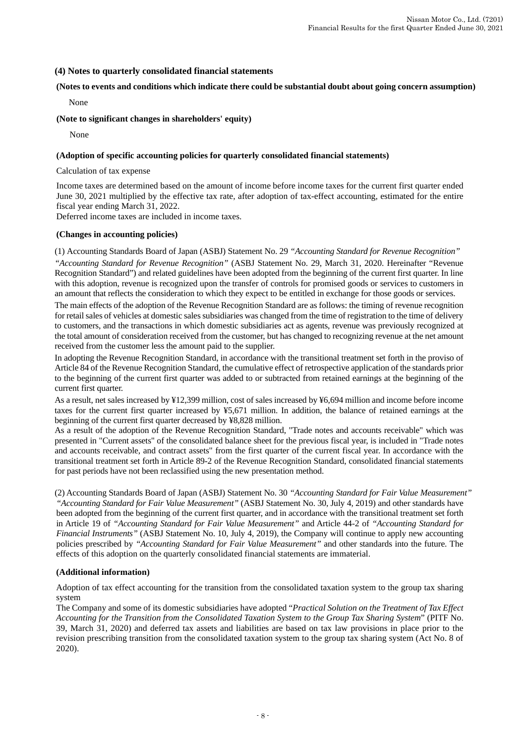### **(4) Notes to quarterly consolidated financial statements**

### **(Notes to events and conditions which indicate there could be substantial doubt about going concern assumption)**

None

### **(Note to significant changes in shareholders' equity)**

None

### **(Adoption of specific accounting policies for quarterly consolidated financial statements)**

Calculation of tax expense

Income taxes are determined based on the amount of income before income taxes for the current first quarter ended June 30, 2021 multiplied by the effective tax rate, after adoption of tax-effect accounting, estimated for the entire fiscal year ending March 31, 2022.

Deferred income taxes are included in income taxes.

### **(Changes in accounting policies)**

(1) Accounting Standards Board of Japan (ASBJ) Statement No. 29 *"Accounting Standard for Revenue Recognition" "Accounting Standard for Revenue Recognition"* (ASBJ Statement No. 29, March 31, 2020. Hereinafter "Revenue Recognition Standard") and related guidelines have been adopted from the beginning of the current first quarter. In line with this adoption, revenue is recognized upon the transfer of controls for promised goods or services to customers in an amount that reflects the consideration to which they expect to be entitled in exchange for those goods or services.

The main effects of the adoption of the Revenue Recognition Standard are as follows: the timing of revenue recognition for retail sales of vehicles at domestic sales subsidiaries was changed from the time of registration to the time of delivery to customers, and the transactions in which domestic subsidiaries act as agents, revenue was previously recognized at the total amount of consideration received from the customer, but has changed to recognizing revenue at the net amount received from the customer less the amount paid to the supplier.

In adopting the Revenue Recognition Standard, in accordance with the transitional treatment set forth in the proviso of Article 84 of the Revenue Recognition Standard, the cumulative effect of retrospective application of the standards prior to the beginning of the current first quarter was added to or subtracted from retained earnings at the beginning of the current first quarter.

As a result, net sales increased by ¥12,399 million, cost of sales increased by ¥6,694 million and income before income taxes for the current first quarter increased by ¥5,671 million. In addition, the balance of retained earnings at the beginning of the current first quarter decreased by ¥8,828 million.

As a result of the adoption of the Revenue Recognition Standard, "Trade notes and accounts receivable" which was presented in "Current assets" of the consolidated balance sheet for the previous fiscal year, is included in "Trade notes and accounts receivable, and contract assets" from the first quarter of the current fiscal year. In accordance with the transitional treatment set forth in Article 89-2 of the Revenue Recognition Standard, consolidated financial statements for past periods have not been reclassified using the new presentation method.

(2) Accounting Standards Board of Japan (ASBJ) Statement No. 30 *"Accounting Standard for Fair Value Measurement" "Accounting Standard for Fair Value Measurement"* (ASBJ Statement No. 30, July 4, 2019) and other standards have been adopted from the beginning of the current first quarter, and in accordance with the transitional treatment set forth in Article 19 of *"Accounting Standard for Fair Value Measurement"* and Article 44-2 of *"Accounting Standard for Financial Instruments"* (ASBJ Statement No. 10, July 4, 2019), the Company will continue to apply new accounting policies prescribed by *"Accounting Standard for Fair Value Measurement"* and other standards into the future. The effects of this adoption on the quarterly consolidated financial statements are immaterial.

### **(Additional information)**

Adoption of tax effect accounting for the transition from the consolidated taxation system to the group tax sharing system

The Company and some of its domestic subsidiaries have adopted "*Practical Solution on the Treatment of Tax Effect Accounting for the Transition from the Consolidated Taxation System to the Group Tax Sharing System*" (PITF No. 39, March 31, 2020) and deferred tax assets and liabilities are based on tax law provisions in place prior to the revision prescribing transition from the consolidated taxation system to the group tax sharing system (Act No. 8 of 2020).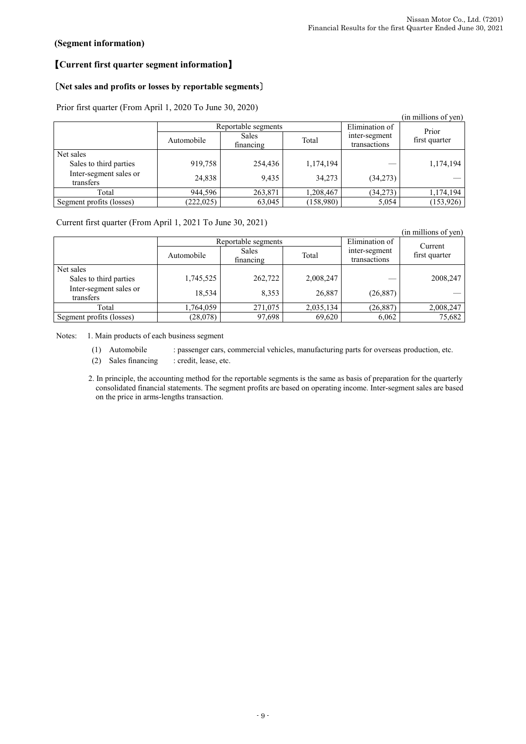## **(Segment information)**

# 【**Current first quarter segment information**】

## 〔**Net sales and profits or losses by reportable segments**〕

Prior first quarter (From April 1, 2020 To June 30, 2020)

| $1101$ mot quarter (110m steps it such 10 cane 50, 2020) |            |                           |           |                               |                      |  |  |  |
|----------------------------------------------------------|------------|---------------------------|-----------|-------------------------------|----------------------|--|--|--|
|                                                          |            |                           |           |                               | (in millions of yen) |  |  |  |
|                                                          |            | Reportable segments       |           | Elimination of                | Prior                |  |  |  |
|                                                          | Automobile | <b>Sales</b><br>financing | Total     | inter-segment<br>transactions | first quarter        |  |  |  |
| Net sales                                                |            |                           |           |                               |                      |  |  |  |
| Sales to third parties                                   | 919,758    | 254,436                   | 1,174,194 |                               | 1,174,194            |  |  |  |
| Inter-segment sales or<br>transfers                      | 24,838     | 9,435                     | 34,273    | (34,273)                      |                      |  |  |  |
| Total                                                    | 944,596    | 263,871                   | 1,208,467 | (34,273)                      | 1,174,194            |  |  |  |
| Segment profits (losses)                                 | (222, 025) | 63,045                    | (158,980) | 5,054                         | (153,926)            |  |  |  |

Current first quarter (From April 1, 2021 To June 30, 2021)

| . .                                 |            |                           |           |                               | (in millions of yen) |  |
|-------------------------------------|------------|---------------------------|-----------|-------------------------------|----------------------|--|
|                                     |            | Reportable segments       |           | Elimination of                | Current              |  |
|                                     | Automobile | <b>Sales</b><br>financing | Total     | inter-segment<br>transactions | first quarter        |  |
| Net sales                           |            |                           |           |                               |                      |  |
| Sales to third parties              | 1,745,525  | 262,722                   | 2,008,247 |                               | 2008,247             |  |
| Inter-segment sales or<br>transfers | 18,534     | 8,353                     | 26,887    | (26, 887)                     |                      |  |
| Total                               | 1,764,059  | 271,075                   | 2,035,134 | (26, 887)                     | 2,008,247            |  |
| Segment profits (losses)            | (28,078)   | 97,698                    | 69,620    | 6,062                         | 75,682               |  |

Notes: 1. Main products of each business segment

- (1) Automobile : passenger cars, commercial vehicles, manufacturing parts for overseas production, etc.
- (2) Sales financing : credit, lease, etc.

2. In principle, the accounting method for the reportable segments is the same as basis of preparation for the quarterly consolidated financial statements. The segment profits are based on operating income. Inter-segment sales are based on the price in arms-lengths transaction.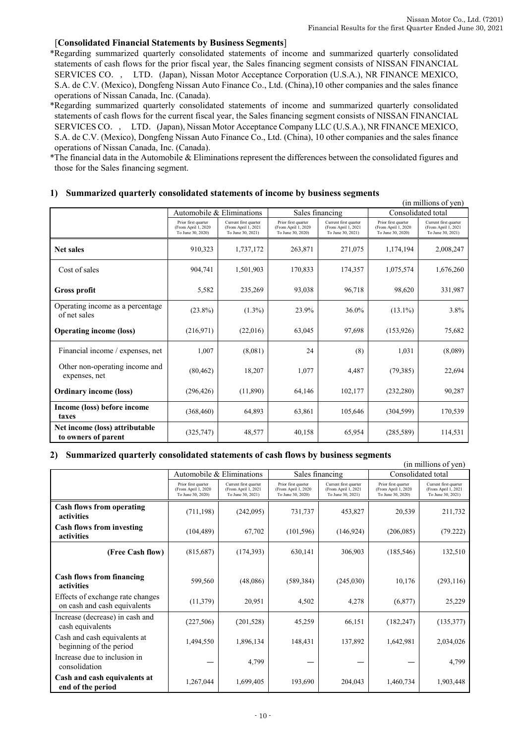### [**Consolidated Financial Statements by Business Segments**]

\*Regarding summarized quarterly consolidated statements of income and summarized quarterly consolidated statements of cash flows for the prior fiscal year, the Sales financing segment consists of NISSAN FINANCIAL SERVICES CO., LTD. (Japan), Nissan Motor Acceptance Corporation (U.S.A.), NR FINANCE MEXICO, S.A. de C.V. (Mexico), Dongfeng Nissan Auto Finance Co., Ltd. (China),10 other companies and the sales finance operations of Nissan Canada, Inc. (Canada).

\*Regarding summarized quarterly consolidated statements of income and summarized quarterly consolidated statements of cash flows for the current fiscal year, the Sales financing segment consists of NISSAN FINANCIAL SERVICES CO., LTD. (Japan), Nissan Motor Acceptance Company LLC (U.S.A.), NR FINANCE MEXICO, S.A. de C.V. (Mexico), Dongfeng Nissan Auto Finance Co., Ltd. (China), 10 other companies and the sales finance operations of Nissan Canada, Inc. (Canada).

\*The financial data in the Automobile & Eliminations represent the differences between the consolidated figures and those for the Sales financing segment.

|                                                       |                                                                 |                                                                   |                                                                 |                                                                   |                                                                 | (in millions of yen)                                              |  |
|-------------------------------------------------------|-----------------------------------------------------------------|-------------------------------------------------------------------|-----------------------------------------------------------------|-------------------------------------------------------------------|-----------------------------------------------------------------|-------------------------------------------------------------------|--|
|                                                       |                                                                 | Automobile & Eliminations                                         |                                                                 | Sales financing                                                   | Consolidated total                                              |                                                                   |  |
|                                                       | Prior first quarter<br>(From April 1, 2020<br>To June 30, 2020) | Current first quarter<br>(From April 1, 2021<br>To June 30, 2021) | Prior first quarter<br>(From April 1, 2020<br>To June 30, 2020) | Current first quarter<br>(From April 1, 2021<br>To June 30, 2021) | Prior first quarter<br>(From April 1, 2020<br>To June 30, 2020) | Current first quarter<br>(From April 1, 2021<br>To June 30, 2021) |  |
| <b>Net sales</b>                                      | 910.323                                                         | 1,737,172                                                         | 263,871                                                         | 271,075                                                           | 1.174.194                                                       | 2,008,247                                                         |  |
| Cost of sales                                         | 904,741                                                         | 1,501,903                                                         | 170,833                                                         | 174,357                                                           | 1,075,574                                                       | 1,676,260                                                         |  |
| <b>Gross profit</b>                                   | 5,582                                                           | 235,269                                                           | 93,038                                                          | 96,718                                                            | 98,620                                                          | 331,987                                                           |  |
| Operating income as a percentage<br>of net sales      | $(23.8\%)$                                                      | $(1.3\%)$                                                         | 23.9%                                                           | 36.0%                                                             | $(13.1\%)$                                                      | 3.8%                                                              |  |
| <b>Operating income (loss)</b>                        | (216,971)                                                       | (22,016)                                                          | 63,045                                                          | 97,698                                                            | (153, 926)                                                      | 75,682                                                            |  |
| Financial income / expenses, net                      | 1,007                                                           | (8,081)                                                           | 24                                                              | (8)                                                               | 1,031                                                           | (8,089)                                                           |  |
| Other non-operating income and<br>expenses, net       | (80, 462)                                                       | 18,207                                                            | 1,077                                                           | 4,487                                                             | (79, 385)                                                       | 22,694                                                            |  |
| <b>Ordinary income (loss)</b>                         | (296, 426)                                                      | (11,890)                                                          | 64,146                                                          | 102,177                                                           | (232, 280)                                                      | 90,287                                                            |  |
| Income (loss) before income<br>taxes                  | (368, 460)                                                      | 64,893                                                            | 63,861                                                          | 105,646                                                           | (304, 599)                                                      | 170,539                                                           |  |
| Net income (loss) attributable<br>to owners of parent | (325, 747)                                                      | 48,577                                                            | 40,158                                                          | 65,954                                                            | (285, 589)                                                      | 114,531                                                           |  |

### **1) Summarized quarterly consolidated statements of income by business segments**

### **2) Summarized quarterly consolidated statements of cash flows by business segments**

| (in millions of yen)                                             |                                                                  |                                                                   |                                                                  |                                                                   |                                                                  |                                                                   |  |
|------------------------------------------------------------------|------------------------------------------------------------------|-------------------------------------------------------------------|------------------------------------------------------------------|-------------------------------------------------------------------|------------------------------------------------------------------|-------------------------------------------------------------------|--|
|                                                                  |                                                                  | Automobile & Eliminations                                         |                                                                  | Sales financing                                                   | Consolidated total                                               |                                                                   |  |
|                                                                  | Prior first quarter<br>(From April 1, 2020)<br>To June 30, 2020) | Current first quarter<br>(From April 1, 2021<br>To June 30, 2021) | Prior first quarter<br>(From April 1, 2020)<br>To June 30, 2020) | Current first quarter<br>(From April 1, 2021<br>To June 30, 2021) | Prior first quarter<br>(From April 1, 2020)<br>To June 30, 2020) | Current first quarter<br>(From April 1, 2021<br>To June 30, 2021) |  |
| Cash flows from operating<br>activities                          | (711, 198)                                                       | (242,095)                                                         | 731,737                                                          | 453,827                                                           | 20,539                                                           | 211,732                                                           |  |
| <b>Cash flows from investing</b><br>activities                   | (104, 489)                                                       | 67,702                                                            | (101, 596)                                                       | (146, 924)                                                        | (206, 085)                                                       | (79.222)                                                          |  |
| (Free Cash flow)                                                 | (815,687)                                                        | (174, 393)                                                        | 630,141                                                          | 306,903                                                           | (185, 546)                                                       | 132,510                                                           |  |
| <b>Cash flows from financing</b><br>activities                   | 599,560                                                          | (48,086)                                                          | (589, 384)                                                       | (245,030)                                                         | 10,176                                                           | (293, 116)                                                        |  |
| Effects of exchange rate changes<br>on cash and cash equivalents | (11,379)                                                         | 20,951                                                            | 4,502                                                            | 4,278                                                             | (6,877)                                                          | 25,229                                                            |  |
| Increase (decrease) in cash and<br>cash equivalents              | (227, 506)                                                       | (201, 528)                                                        | 45,259                                                           | 66,151                                                            | (182, 247)                                                       | (135, 377)                                                        |  |
| Cash and cash equivalents at<br>beginning of the period          | 1,494,550                                                        | 1,896,134                                                         | 148.431                                                          | 137,892                                                           | 1.642.981                                                        | 2,034,026                                                         |  |
| Increase due to inclusion in<br>consolidation                    |                                                                  | 4,799                                                             |                                                                  |                                                                   |                                                                  | 4,799                                                             |  |
| Cash and cash equivalents at<br>end of the period                | 1,267,044                                                        | 1,699,405                                                         | 193,690                                                          | 204.043                                                           | 1,460,734                                                        | 1,903,448                                                         |  |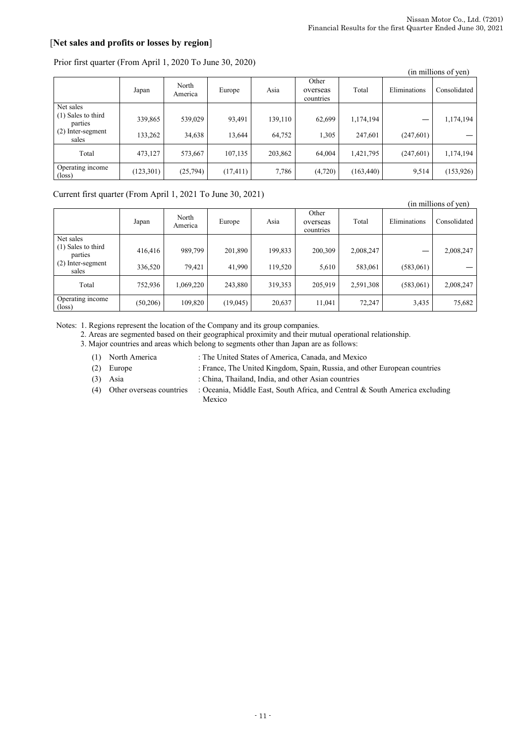# [**Net sales and profits or losses by region**]

| $\frac{1}{2}$ . The second second state $\frac{1}{2}$ . The second second second second second second second second second second second second second second second second second second second second second second second second s |            |                  |           |         |                                |            |              | (in millions of yen) |
|---------------------------------------------------------------------------------------------------------------------------------------------------------------------------------------------------------------------------------------|------------|------------------|-----------|---------|--------------------------------|------------|--------------|----------------------|
|                                                                                                                                                                                                                                       | Japan      | North<br>America | Europe    | Asia    | Other<br>overseas<br>countries | Total      | Eliminations | Consolidated         |
| Net sales                                                                                                                                                                                                                             |            |                  |           |         |                                |            |              |                      |
| (1) Sales to third<br>parties                                                                                                                                                                                                         | 339,865    | 539,029          | 93,491    | 139,110 | 62,699                         | 1,174,194  |              | 1,174,194            |
| (2) Inter-segment<br>sales                                                                                                                                                                                                            | 133,262    | 34,638           | 13,644    | 64,752  | 1,305                          | 247,601    | (247, 601)   |                      |
| Total                                                                                                                                                                                                                                 | 473,127    | 573,667          | 107,135   | 203,862 | 64,004                         | 1,421,795  | (247, 601)   | 1,174,194            |
| Operating income<br>$(\text{loss})$                                                                                                                                                                                                   | (123, 301) | (25,794)         | (17, 411) | 7,786   | (4,720)                        | (163, 440) | 9,514        | (153, 926)           |

### Prior first quarter (From April 1, 2020 To June 30, 2020)

### Current first quarter (From April 1, 2021 To June 30, 2021)

|                                     |          |                  |          |         |                                |           |              | (in millions of yen) |
|-------------------------------------|----------|------------------|----------|---------|--------------------------------|-----------|--------------|----------------------|
|                                     | Japan    | North<br>America | Europe   | Asia    | Other<br>overseas<br>countries | Total     | Eliminations | Consolidated         |
| Net sales                           |          |                  |          |         |                                |           |              |                      |
| $(1)$ Sales to third<br>parties     | 416,416  | 989,799          | 201,890  | 199,833 | 200,309                        | 2,008,247 |              | 2,008,247            |
| $(2)$ Inter-segment<br>sales        | 336,520  | 79,421           | 41,990   | 119,520 | 5,610                          | 583,061   | (583,061)    |                      |
| Total                               | 752.936  | 1,069,220        | 243,880  | 319,353 | 205,919                        | 2,591,308 | (583,061)    | 2,008,247            |
| Operating income<br>$(\text{loss})$ | (50,206) | 109,820          | (19,045) | 20,637  | 11,041                         | 72,247    | 3,435        | 75,682               |

Notes: 1. Regions represent the location of the Company and its group companies.

2. Areas are segmented based on their geographical proximity and their mutual operational relationship.

3. Major countries and areas which belong to segments other than Japan are as follows:

- (1) North America : The United States of America, Canada, and Mexico
- (2) Europe : France, The United Kingdom, Spain, Russia, and other European countries
- (3) Asia : China, Thailand, India, and other Asian countries
- (4) Other overseas countries : Oceania, Middle East, South Africa, and Central & South America excluding Mexico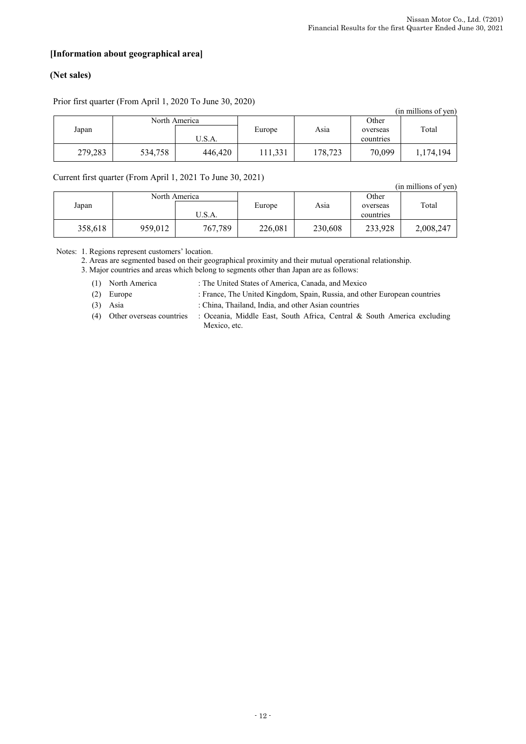## **[Information about geographical area]**

# **(Net sales)**

|               | (in millions of yen) |         |        |         |           |           |  |  |  |
|---------------|----------------------|---------|--------|---------|-----------|-----------|--|--|--|
| North America |                      |         |        | Other   |           |           |  |  |  |
| Japan         |                      |         | Europe | Asia    | overseas  | Total     |  |  |  |
|               |                      | U.S.A.  |        |         | countries |           |  |  |  |
| 279,283       | 534,758              | 446,420 | 11,331 | 178,723 | 70,099    | 1,174,194 |  |  |  |

### Prior first quarter (From April 1, 2020 To June 30, 2020)

Current first quarter (From April 1, 2021 To June 30, 2021)

|               |         |         |         |         |           | (in millions of yen) |
|---------------|---------|---------|---------|---------|-----------|----------------------|
| North America |         |         |         | Other   |           |                      |
| Japan         |         |         | Europe  | Asia    | overseas  | Total                |
|               |         | U.S.A.  |         |         | countries |                      |
| 358,618       | 959,012 | 767,789 | 226,081 | 230,608 | 233,928   | 2,008,247            |

Notes: 1. Regions represent customers' location.

2. Areas are segmented based on their geographical proximity and their mutual operational relationship.

3. Major countries and areas which belong to segments other than Japan are as follows:

(1) North America : The United States of America, Canada, and Mexico

(2) Europe : France, The United Kingdom, Spain, Russia, and other European countries

(3) Asia : China, Thailand, India, and other Asian countries

(4) Other overseas countries : Oceania, Middle East, South Africa, Central & South America excluding Mexico, etc.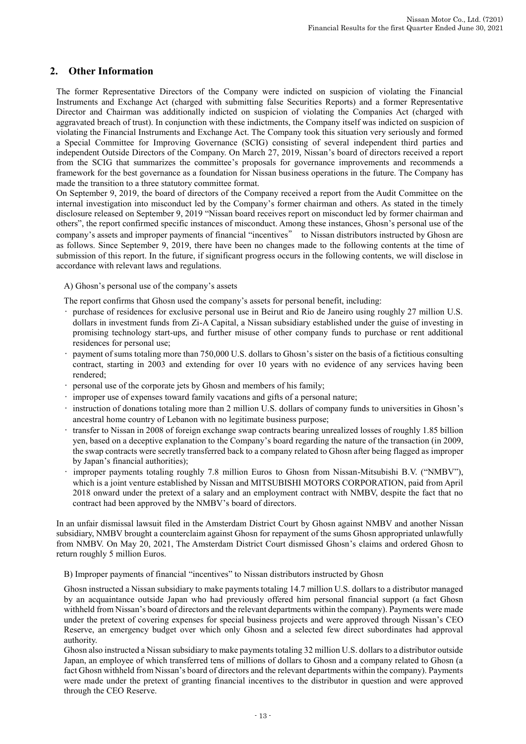# **2. Other Information**

The former Representative Directors of the Company were indicted on suspicion of violating the Financial Instruments and Exchange Act (charged with submitting false Securities Reports) and a former Representative Director and Chairman was additionally indicted on suspicion of violating the Companies Act (charged with aggravated breach of trust). In conjunction with these indictments, the Company itself was indicted on suspicion of violating the Financial Instruments and Exchange Act. The Company took this situation very seriously and formed a Special Committee for Improving Governance (SCIG) consisting of several independent third parties and independent Outside Directors of the Company. On March 27, 2019, Nissan's board of directors received a report from the SCIG that summarizes the committee's proposals for governance improvements and recommends a framework for the best governance as a foundation for Nissan business operations in the future. The Company has made the transition to a three statutory committee format.

On September 9, 2019, the board of directors of the Company received a report from the Audit Committee on the internal investigation into misconduct led by the Company's former chairman and others. As stated in the timely disclosure released on September 9, 2019 "Nissan board receives report on misconduct led by former chairman and others", the report confirmed specific instances of misconduct. Among these instances, Ghosn's personal use of the company's assets and improper payments of financial "incentives" to Nissan distributors instructed by Ghosn are as follows. Since September 9, 2019, there have been no changes made to the following contents at the time of submission of this report. In the future, if significant progress occurs in the following contents, we will disclose in accordance with relevant laws and regulations.

A) Ghosn's personal use of the company's assets

The report confirms that Ghosn used the company's assets for personal benefit, including:

- purchase of residences for exclusive personal use in Beirut and Rio de Janeiro using roughly 27 million U.S. dollars in investment funds from Zi-A Capital, a Nissan subsidiary established under the guise of investing in promising technology start-ups, and further misuse of other company funds to purchase or rent additional residences for personal use;
- payment of sums totaling more than 750,000 U.S. dollars to Ghosn's sister on the basis of a fictitious consulting contract, starting in 2003 and extending for over 10 years with no evidence of any services having been rendered;
- personal use of the corporate jets by Ghosn and members of his family;
- improper use of expenses toward family vacations and gifts of a personal nature;
- instruction of donations totaling more than 2 million U.S. dollars of company funds to universities in Ghosn's ancestral home country of Lebanon with no legitimate business purpose;
- transfer to Nissan in 2008 of foreign exchange swap contracts bearing unrealized losses of roughly 1.85 billion yen, based on a deceptive explanation to the Company's board regarding the nature of the transaction (in 2009, the swap contracts were secretly transferred back to a company related to Ghosn after being flagged as improper by Japan's financial authorities);
- improper payments totaling roughly 7.8 million Euros to Ghosn from Nissan-Mitsubishi B.V. ("NMBV"), which is a joint venture established by Nissan and MITSUBISHI MOTORS CORPORATION, paid from April 2018 onward under the pretext of a salary and an employment contract with NMBV, despite the fact that no contract had been approved by the NMBV's board of directors.

In an unfair dismissal lawsuit filed in the Amsterdam District Court by Ghosn against NMBV and another Nissan subsidiary, NMBV brought a counterclaim against Ghosn for repayment of the sums Ghosn appropriated unlawfully from NMBV. On May 20, 2021, The Amsterdam District Court dismissed Ghosn's claims and ordered Ghosn to return roughly 5 million Euros.

B) Improper payments of financial "incentives" to Nissan distributors instructed by Ghosn

Ghosn instructed a Nissan subsidiary to make payments totaling 14.7 million U.S. dollars to a distributor managed by an acquaintance outside Japan who had previously offered him personal financial support (a fact Ghosn withheld from Nissan's board of directors and the relevant departments within the company). Payments were made under the pretext of covering expenses for special business projects and were approved through Nissan's CEO Reserve, an emergency budget over which only Ghosn and a selected few direct subordinates had approval authority.

Ghosn also instructed a Nissan subsidiary to make payments totaling 32 million U.S. dollars to a distributor outside Japan, an employee of which transferred tens of millions of dollars to Ghosn and a company related to Ghosn (a fact Ghosn withheld from Nissan's board of directors and the relevant departments within the company). Payments were made under the pretext of granting financial incentives to the distributor in question and were approved through the CEO Reserve.